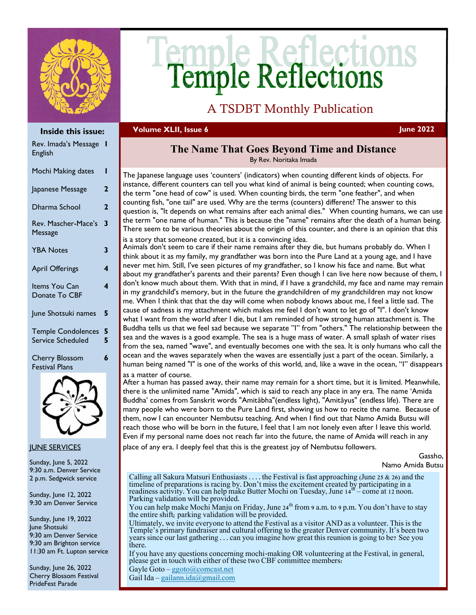

# **Temple Reflections**

# A TSDBT Monthly Publication

## **Volume XLII, Issue 6 June 2022**

| Inside this issue:                             |                         |  |
|------------------------------------------------|-------------------------|--|
| Rev. Imada's Message<br>English                | ı                       |  |
| Mochi Making dates                             | ı                       |  |
| Japanese Message                               | $\mathbf{2}$            |  |
| Dharma School                                  | $\mathbf 2$             |  |
| Rev. Mascher-Mace's<br>Message                 | 3                       |  |
| <b>YBA Notes</b>                               | 3                       |  |
| <b>April Offerings</b>                         | 4                       |  |
| Items You Can<br>Donate To CBF                 | $\overline{\mathbf{A}}$ |  |
| June Shotsuki names                            | 5                       |  |
| <b>Temple Condolences</b><br>Service Scheduled | 5<br>5                  |  |
| <b>Cherry Blossom</b><br><b>Festival Plans</b> | 6                       |  |



## JUNE SERVICES

Sunday, June 5, 2022 9:30 a.m. Denver Service 2 p.m. Sedgwick service

Sunday, June 12, 2022 9:30 am Denver Service

Sunday, June 19, 2022 June Shotsuki 9:30 am Denver Service 9:30 am Brighton service 11:30 am Ft. Lupton service

Sunday, June 26, 2022 Cherry Blossom Festival PrideFest Parade

## **The Name That Goes Beyond Time and Distance**

By Rev. Noritaka Imada

The Japanese language uses 'counters' (indicators) when counting different kinds of objects. For instance, different counters can tell you what kind of animal is being counted; when counting cows, the term "one head of cow" is used. When counting birds, the term "one feather", and when counting fish, "one tail" are used. Why are the terms (counters) different? The answer to this question is, "It depends on what remains after each animal dies." When counting humans, we can use the term "one name of human." This is because the "name" remains after the death of a human being. There seem to be various theories about the origin of this counter, and there is an opinion that this is a story that someone created, but it is a convincing idea.

Animals don't seem to care if their name remains after they die, but humans probably do. When I think about it as my family, my grandfather was born into the Pure Land at a young age, and I have never met him. Still, I've seen pictures of my grandfather, so I know his face and name. But what about my grandfather's parents and their parents? Even though I can live here now because of them, I don't know much about them. With that in mind, if I have a grandchild, my face and name may remain in my grandchild's memory, but in the future the grandchildren of my grandchildren may not know me. When I think that that the day will come when nobody knows about me, I feel a little sad. The cause of sadness is my attachment which makes me feel I don't want to let go of "I". I don't know what I want from the world after I die, but I am reminded of how strong human attachment is. The Buddha tells us that we feel sad because we separate "I" from "others." The relationship between the sea and the waves is a good example. The sea is a huge mass of water. A small splash of water rises from the sea, named "wave", and eventually becomes one with the sea. It is only humans who call the ocean and the waves separately when the waves are essentially just a part of the ocean. Similarly, a human being named "I" is one of the works of this world, and, like a wave in the ocean, "I" disappears as a matter of course.

After a human has passed away, their name may remain for a short time, but it is limited. Meanwhile, there is the unlimited name "Amida", which is said to reach any place in any era. The name 'Amida Buddha' comes from Sanskrit words "Amitābha"(endless light), "Amitāyus" (endless life). There are many people who were born to the Pure Land first, showing us how to recite the name. Because of them, now I can encounter Nembutsu teaching. And when I find out that Namo Amida Butsu will reach those who will be born in the future, I feel that I am not lonely even after I leave this world. Even if my personal name does not reach far into the future, the name of Amida will reach in any place of any era. I deeply feel that this is the greatest joy of Nembutsu followers.

Gassho,

```
Namo Amida Butsu
```
Calling all Sakura Matsuri Enthusiasts . . . . the Festival is fast approaching (June 25  $\&$  26) and the timeline of preparations is racing by. Don't miss the excitement created by participating in a<br>readiness activity. You can help make Butter Mochi on Tuesday, June 14<sup>th</sup> – come at 12 noon. Parking validation will be provided.

You can help make Mochi Manju on Friday, June  $24<sup>th</sup>$  from 9 a.m. to 9 p.m. You don't have to stay the entire shift; parking validation will be provided.

Ultimately, we invite everyone to attend the Festival as a visitor AND as a volunteer. This is the Temple's primary fundraiser and cultural offering to the greater Denver community. It's been two years since our last gathering . . . can you imagine how great this reunion is going to be? See you there.

If you have any questions concerning mochi-making OR volunteering at the Festival, in general, please get in touch with either of these two CBF committee members:

Gayle Goto – [ggoto@comcast.net](mailto:ggoto@comcast.net) Gail Ida – [gailann.ida@gmail.com](mailto:gailann.ida@gmail.com)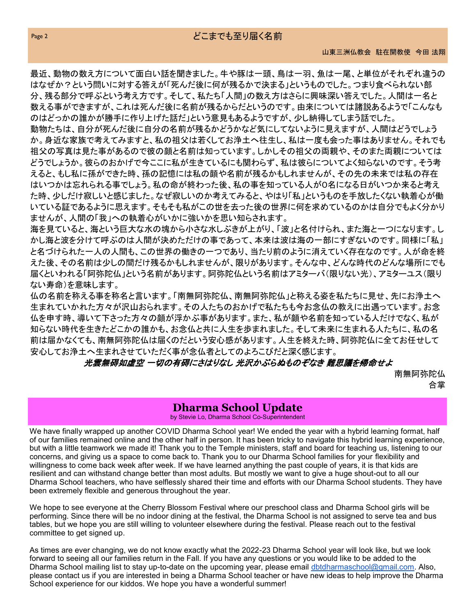最近、動物の数え方について面白い話を聞きました。牛や豚は一頭、鳥は一羽、魚は一尾、と単位がそれぞれ違うの はなぜか?という問いに対する答えが「死んだ後に何が残るかで決まる」というものでした。つまり食べられない部 分、残る部分で呼ぶという考え方です。そして、私たち「人間」の数え方はさらに興味深い答えでした。人間は一名と 数える事ができますが、これは死んだ後に名前が残るからだというのです。由来については諸説あるようで「こんなも のはどっかの誰かが勝手に作り上げた話だ」という意見もあるようですが、少し納得してしまう話でした。

動物たちは、自分が死んだ後に自分の名前が残るかどうかなど気にしてないように見えますが、人間はどうでしょう か。身近な家族で考えてみますと、私の祖父は若くしてお浄土へ往生し、私は一度も会った事はありません。それでも 祖父の写真は見た事があるので彼の顔と名前は知っています。しかしその祖父の両親や、そのまた両親については どうでしょうか。彼らのおかげで今ここに私が生きているにも関わらず、私は彼らについてよく知らないのです。そう考 えると、もし私に孫ができた時、孫の記憶には私の顔や名前が残るかもしれませんが、その先の未来では私の存在 はいつかは忘れられる事でしょう。私の命が終わった後、私の事を知っている人が0名になる日がいつか来ると考え た時、少しだけ寂しいと感じました。なぜ寂しいのか考えてみると、やはり「私」というものを手放したくない執着心が働 いている証であるように思えます。そもそも私がこの世を去った後の世界に何を求めているのかは自分でもよく分かり ませんが、人間の「我」への執着心がいかに強いかを思い知らされます。

海を見ていると、海という巨大な水の塊から小さな水しぶきが上がり、「波」と名付けられ、また海と一つになります。し かし海と波を分けて呼ぶのは人間が決めただけの事であって、本来は波は海の一部にすぎないのです。同様に「私」 と名づけられた一人の人間も、この世界の働きの一つであり、当たり前のように消えていく存在なのです。人が命を終 えた後、その名前は少しの間だけ残るかもしれませんが、限りがあります。そんな中、どんな時代のどんな場所にでも 届くといわれる「阿弥陀仏」という名前があります。阿弥陀仏という名前はアミターバ(限りない光)、アミターユス(限り ない寿命)を意味します。

仏の名前を称える事を称名と言います。「南無阿弥陀仏、南無阿弥陀仏」と称える姿を私たちに見せ、先にお浄土へ 生まれていかれた方々が沢山おられます。その人たちのおかげで私たちも今お念仏の教えに出遇っています。お念 仏を申す時、導いて下さった方々の顔が浮かぶ事があります。また、私が顔や名前を知っている人だけでなく、私が 知らない時代を生きたどこかの誰かも、お念仏と共に人生を歩まれました。そして未来に生まれる人たちに、私の名 前は届かなくても、南無阿弥陀仏は届くのだという安心感があります。人生を終えた時、阿弥陀仏に全てお任せして 安心してお浄土へ生まれさせていただく事が念仏者としてのよろこびだと深く感じます。

## 光雲無碍如虚空 一切の有碍にさはりなし 光沢かぶらぬものぞなき 難思議を帰命せよ

南無阿弥陀仏 合掌

## **Dharma School Update**

by Stevie Lo, Dharma School Co-Superintendent

We have finally wrapped up another COVID Dharma School year! We ended the year with a hybrid learning format, half of our families remained online and the other half in person. It has been tricky to navigate this hybrid learning experience, but with a little teamwork we made it! Thank you to the Temple ministers, staff and board for teaching us, listening to our concerns, and giving us a space to come back to. Thank you to our Dharma School families for your flexibility and willingness to come back week after week. If we have learned anything the past couple of years, it is that kids are resilient and can withstand change better than most adults. But mostly we want to give a huge shout-out to all our Dharma School teachers, who have selflessly shared their time and efforts with our Dharma School students. They have been extremely flexible and generous throughout the year.

We hope to see everyone at the Cherry Blossom Festival where our preschool class and Dharma School girls will be performing. Since there will be no indoor dining at the festival, the Dharma School is not assigned to serve tea and bus tables, but we hope you are still willing to volunteer elsewhere during the festival. Please reach out to the festival committee to get signed up.

As times are ever changing, we do not know exactly what the 2022-23 Dharma School year will look like, but we look forward to seeing all our families return in the Fall. If you have any questions or you would like to be added to the Dharma School mailing list to stay up-to-date on the upcoming year, please email [dbtdharmaschool@gmail.com.](mailto:dbtdharmaschool@gmail.com) Also, please contact us if you are interested in being a Dharma School teacher or have new ideas to help improve the Dharma School experience for our kiddos. We hope you have a wonderful summer!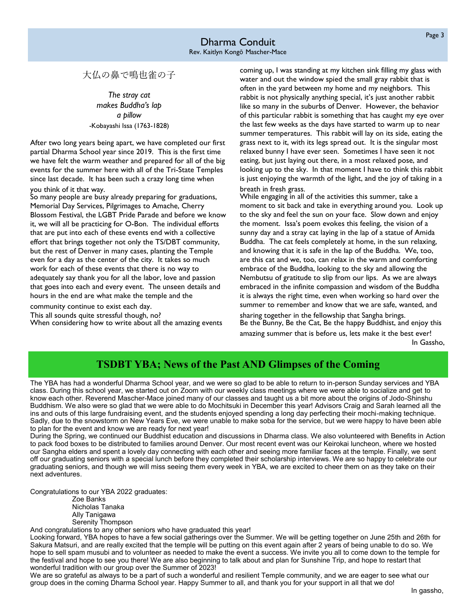大仏の鼻で鳴也雀の子

*The stray cat makes Buddha's lap a pillow* -Kobayashi Issa (1763-1828)

After two long years being apart, we have completed our first partial Dharma School year since 2019. This is the first time we have felt the warm weather and prepared for all of the big events for the summer here with all of the Tri-State Temples since last decade. It has been such a crazy long time when

## you think of it that way.

So many people are busy already preparing for graduations, Memorial Day Services, Pilgrimages to Amache, Cherry Blossom Festival, the LGBT Pride Parade and before we know it, we will all be practicing for O-Bon. The individual efforts that are put into each of these events end with a collective effort that brings together not only the TS/DBT community, but the rest of Denver in many cases, planting the Temple even for a day as the center of the city. It takes so much work for each of these events that there is no way to adequately say thank you for all the labor, love and passion that goes into each and every event. The unseen details and hours in the end are what make the temple and the

community continue to exist each day. This all sounds quite stressful though, no? When considering how to write about all the amazing events coming up, I was standing at my kitchen sink filling my glass with water and out the window spied the small gray rabbit that is often in the yard between my home and my neighbors. This rabbit is not physically anything special, it's just another rabbit like so many in the suburbs of Denver. However, the behavior of this particular rabbit is something that has caught my eye over the last few weeks as the days have started to warm up to near summer temperatures. This rabbit will lay on its side, eating the grass next to it, with its legs spread out. It is the singular most relaxed bunny I have ever seen. Sometimes I have seen it not eating, but just laying out there, in a most relaxed pose, and looking up to the sky. In that moment I have to think this rabbit is just enjoying the warmth of the light, and the joy of taking in a breath in fresh grass.

While engaging in all of the activities this summer, take a moment to sit back and take in everything around you. Look up to the sky and feel the sun on your face. Slow down and enjoy the moment. Issa's poem evokes this feeling, the vision of a sunny day and a stray cat laying in the lap of a statue of Amida Buddha. The cat feels completely at home, in the sun relaxing, and knowing that it is safe in the lap of the Buddha. We, too, are this cat and we, too, can relax in the warm and comforting embrace of the Buddha, looking to the sky and allowing the Nembutsu of gratitude to slip from our lips. As we are always embraced in the infinite compassion and wisdom of the Buddha it is always the right time, even when working so hard over the summer to remember and know that we are safe, wanted, and

sharing together in the fellowship that Sangha brings. Be the Bunny, Be the Cat, Be the happy Buddhist, and enjoy this

amazing summer that is before us, lets make it the best ever! In Gassho,

# **TSDBT YBA; News of the Past AND Glimpses of the Coming**

The YBA has had a wonderful Dharma School year, and we were so glad to be able to return to in-person Sunday services and YBA class. During this school year, we started out on Zoom with our weekly class meetings where we were able to socialize and get to know each other. Reverend Mascher-Mace joined many of our classes and taught us a bit more about the origins of Jodo-Shinshu Buddhism. We also were so glad that we were able to do Mochitsuki in December this year! Advisors Craig and Sarah learned all the ins and outs of this large fundraising event, and the students enjoyed spending a long day perfecting their mochi-making technique. Sadly, due to the snowstorm on New Years Eve, we were unable to make soba for the service, but we were happy to have been able to plan for the event and know we are ready for next year!

During the Spring, we continued our Buddhist education and discussions in Dharma class. We also volunteered with Benefits in Action to pack food boxes to be distributed to families around Denver. Our most recent event was our Keirokai luncheon, where we hosted our Sangha elders and spent a lovely day connecting with each other and seeing more familiar faces at the temple. Finally, we sent off our graduating seniors with a special lunch before they completed their scholarship interviews. We are so happy to celebrate our graduating seniors, and though we will miss seeing them every week in YBA, we are excited to cheer them on as they take on their next adventures.

Congratulations to our YBA 2022 graduates:

Zoe Banks Nicholas Tanaka Ally Tanigawa Serenity Thompson

And congratulations to any other seniors who have graduated this year!

Looking forward, YBA hopes to have a few social gatherings over the Summer. We will be getting together on June 25th and 26th for Sakura Matsuri, and are really excited that the temple will be putting on this event again after 2 years of being unable to do so. We hope to sell spam musubi and to volunteer as needed to make the event a success. We invite you all to come down to the temple for the festival and hope to see you there! We are also beginning to talk about and plan for Sunshine Trip, and hope to restart that wonderful tradition with our group over the Summer of 2023!

We are so grateful as always to be a part of such a wonderful and resilient Temple community, and we are eager to see what our group does in the coming Dharma School year. Happy Summer to all, and thank you for your support in all that we do!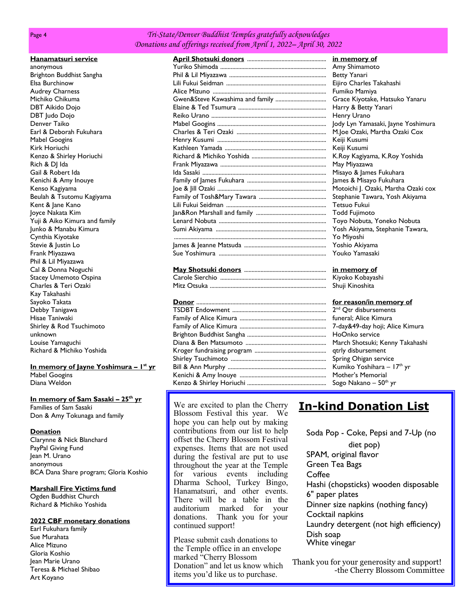## *Tri-State/Denver Buddhist Temples gratefully acknowledges Donations and offerings received from April 1, 2022– April 30, 2022*

|  | Hanamatsuri service |
|--|---------------------|
|  |                     |

anonymous Brighton Buddhist Sangha Elsa Burchinow Audrey Charness Michiko Chikuma DBT Aikido Dojo DBT Judo Dojo Denver Taiko Earl & Deborah Fukuhara Mabel Googins Kirk Horiuchi Kenzo & Shirley Horiuchi Rich & DJ Ida Gail & Robert Ida Kenichi & Amy Inouye Kenso Kagiyama Beulah & Tsutomu Kagiyama Kent & Jane Kano Joyce Nakata Kim Yuji & Aiko Kimura and family Junko & Manabu Kimura Cynthia Kiyotake Stevie & Justin Lo Frank Miyazawa Phil & Lil Miyazawa Cal & Donna Noguchi Stacey Umemoto Ospina Charles & Teri Ozaki Kay Takahashi Sayoko Takata Debby Tanigawa Hisae Taniwaki Shirley & Rod Tsuchimoto unknown Louise Yamaguchi Richard & Michiko Yoshida

**In memory of Jayne Yoshimura – 1 st yr** Mabel Googins Diana Weldon

### **In memory of Sam Sasaki – 25th yr**

Families of Sam Sasaki Don & Amy Tokunaga and family

## **Donation**

Clarynne & Nick Blanchard PayPal Giving Fund Jean M. Urano anonymous BCA Dana Share program; Gloria Koshio

## **Marshall Fire Victims fund**

Ogden Buddhist Church Richard & Michiko Yoshida

## **2022 CBF monetary donations**

Earl Fukuhara family Sue Murahata Alice Mizuno Gloria Koshio Jean Marie Urano Teresa & Michael Shibao Art Koyano

## **April Shotsuki donors** ..................................................... **in memory of** Yuriko Shimoda ....................................................................... Amy Shimamoto Phil & Lil Miyazawa ................................................................. Betty Yanari Lili Fukui Seidman ................................................................... Eijiro Charles Takahashi Alice Mizuno ............................................................................ Fumiko Mamiya Gwen&Steve Kawashima and family .................................. Grace Kiyotake, Hatsuko Yanaru Elaine & Ted Tsumura ........................................................... Harry & Betty Yanari Reiko Urano ............................................................................. Henry Urano Mabel Googins ......................................................................... Jody Lyn Yamasaki, Jayne Yoshimura Charles & Teri Ozaki ............................................................ M.Joe Ozaki, Martha Ozaki Cox Henry Kusumi ......................................................................... Keiji Kusumi Kathleen Yamada .................................................................... Keiji Kusumi Richard & Michiko Yoshida .................................................. K.Roy Kagiyama, K.Roy Yoshida Frank Miyazawa ....................................................................... May Miyazawa Ida Sasaki ................................................................................... Misayo & James Fukuhara Family of James Fukuhara ..................................................... James & Misayo Fukuhara Joe & Jill Ozaki ......................................................................... Motoichi J. Ozaki, Martha Ozaki cox Family of Tosh&Mary Tawara ............................................. Stephanie Tawara, Yosh Akiyama Lili Fukui Seidman ................................................................... Tetsuo Fukui Jan&Ron Marshall and family ............................................... Todd Fujimoto Lenard Nobuta ........................................................................ Toyo Nobuta, Yoneko Nobuta Sumi Akiyama .......................................................................... Yosh Akiyama, Stephanie Tawara, ...................................................................................................... Yo Miyoshi James & Jeanne Matsuda ....................................................... Yoshio Akiyama Sue Yoshimura ........................................................................ Youko Yamasaki

| in memory of    |
|-----------------|
| Kiyoko Kobaya   |
| Shuji Kinoshita |

We are excited to plan the Cherry Blossom Festival this year. We hope you can help out by making contributions from our list to help offset the Cherry Blossom Festival expenses. Items that are not used during the festival are put to use throughout the year at the Temple for various events including Dharma School, Turkey Bingo, Hanamatsuri, and other events. There will be a table in the auditorium marked for your donations. Thank you for your continued support!

Please submit cash donations to the Temple office in an envelope marked "Cherry Blossom Donation" and let us know which items you'd like us to purchase.

# **In-kind Donation List**

Soda Pop - Coke, Pepsi and 7-Up (no diet pop) SPAM, original flavor Green Tea Bags **Coffee** Hashi (chopsticks) wooden disposable 6" paper plates Dinner size napkins (nothing fancy) Cocktail napkins Laundry detergent (not high efficiency) Dish soap White vinegar

Thank you for your generosity and support! -the Cherry Blossom Committee

<u>m memory of</u> Ciyoko Kobayashi

## **Donor** ....................................................................................... **for reason/in memory of**

 $2<sup>nd</sup>$  Otr disbursements funeral: Alice Kimura 7-day & 49-day hoji; Alice Kimura HoOnko service March Shotsuki; Kenny Takahashi qtrly disbursement Spring Ohigan service Kumiko Yoshihara – 17<sup>th</sup> yr Mother's Memorial Sogo Nakano – 50<sup>th</sup> yr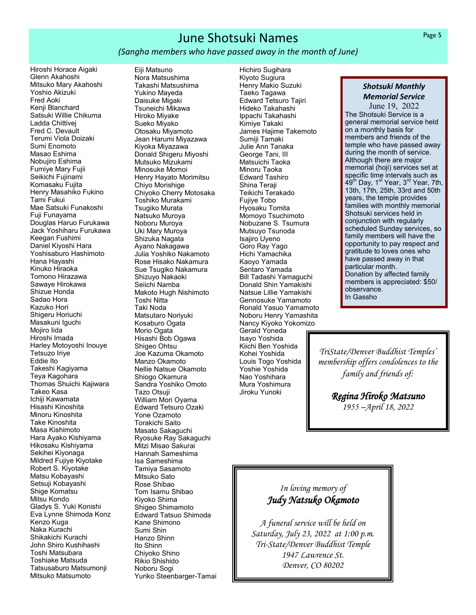# June Shotsuki Names

## *(Sangha members who have passed away in the month of June)*

Hiroshi Horace Aigaki Glenn Akahoshi Mitsuko Mary Akahoshi Yoshio Akizuki Fred Aoki Kenji Blanchard Satsuki Willie Chikuma Ladda Chittivej Fred C. Devault Terumi Viola Doizaki Sumi Enomoto Masao Eshima Nobujiro Eshima Fumiye Mary Fujii Seikichi Fujinami Komasaku Fujita Henry Masahiko Fukino Tami Fukui Mae Satsuki Funakoshi Fuji Funayama Douglas Haruo Furukawa Jack Yoshiharu Furukawa Keegan Fushimi Daniel Kiyoshi Hara Yoshisaburo Hashimoto Hana Hayashi Kinuko Hiraoka Tomono Hirazawa Sawaye Hirokawa Shizue Honda Sadao Hora Kazuko Hori Shigeru Horiuchi Masakuni Iguchi Mojiro Iida Hiroshi Imada Harley Motoyoshi Inouye Tetsuzo Iriye Eddie Ito Takeshi Kagiyama Teya Kagohara Thomas Shuichi Kajiwara Takeo Kasa Ichiji Kawamata Hisashi Kinoshita Minoru Kinoshita Take Kinoshita Masa Kishimoto Hara Ayako Kishiyama Hikosaku Kishiyama Sekihei Kiyonaga Mildred Fujiye Kiyotake Robert S. Kiyotake Matsu Kobayashi Setsuji Kobayashi Shige Komatsu Mitsu Kondo Gladys S. Yuki Konishi Eva Lynne Shimoda Konz Kenzo Kuga Naka Kurachi Shikakichi Kurachi John Shiro Kushihashi Toshi Matsubara Toshiake Matsuda Tatsusaburo Matsumonji Mitsuko Matsumoto

Eiji Matsuno Nora Matsushima Takashi Matsushima Yukino Mayeda Daisuke Migaki Tsuneichi Mikawa Hiroko Miyake Sueko Miyako Otosaku Miyamoto Jean Harumi Miyazawa Kiyoka Miyazawa Donald Shigeru Miyoshi Mutsuko Mizukami Minosuke Momoi Henry Hayato Morimitsu Chiyo Morishige Chiyoko Cherry Motosaka Toshiko Murakami Tsugiko Murata Natsuko Muroya Noboru Muroya Uki Mary Muroya Shizuka Nagata Ayano Nakagawa Julia Yoshiko Nakamoto Rose Hisako Nakamura Sue Tsugiko Nakamura Shizuyo Nakaoki Seiichi Namba Makoto Hugh Nishimoto Toshi Nitta Taki Noda Matsutaro Noriyuki Kosaburo Ogata Morio Ogata Hisashi Bob Ogawa Shigeo Ohtsu Joe Kazuma Okamoto Manzo Okamoto Nellie Natsue Okamoto Shiogo Okamura Sandra Yoshiko Omoto Tazo Otsuji William Mori Oyama Edward Tetsuro Ozaki Yone Ozamoto Torakichi Saito Masato Sakaguchi Ryosuke Ray Sakaguchi Mitzi Misao Sakurai Hannah Sameshima Isa Sameshima Tamiya Sasamoto Mitsuko Sato Rose Shibao Tom Isamu Shibao Kiyoko Shima Shigeo Shimamoto Edward Tatsuo Shimoda Kane Shimono Sumi Shin Hanzo Shinn Ito Shinn Chiyoko Shino Rikio Shishido Noboru Sogi Yuriko Steenbarger-Tamai

Hichiro Sugihara Kiyoto Sugiura Henry Makio Suzuki Taeko Tagawa Edward Tetsuro Tajiri Hideko Takahashi Ippachi Takahashi Kimiye Takaki James Hajime Takemoto Sumiji Tamaki Julie Ann Tanaka George Tani, III Matsuichi Taoka Minoru Taoka Edward Tashiro Shina Teraji Teikichi Terakado Fujiye Tobo Hyosaku Tomita Momoyo Tsuchimoto Nobuzane S. Tsumura Mutsuyo Tsunoda Isajiro Uyeno Goro Ray Yago Hichi Yamachika Kaoyo Yamada Sentaro Yamada Bill Tadashi Yamaguchi Donald Shin Yamakishi Natsue Lillie Yamakishi Gennosuke Yamamoto Ronald Yasuo Yamamoto Noboru Henry Yamashita Nancy Kiyoko Yokomizo Gerald Yoneda Isayo Yoshida Kiichi Ben Yoshida Kohei Yoshida Louis Togo Yoshida Yoshie Yoshida Nao Yoshihara Mura Yoshimura Jiroku Yunoki

## *Shotsuki Monthly Memorial Service*

June 19, 2022 The Shotsuki Service is a general memorial service held on a monthly basis for members and friends of the temple who have passed away during the month of service. Although there are major memorial (hoji) services set at specific time intervals such as 49<sup>th</sup> Day, 1<sup>st</sup> Year, 3<sup>rd</sup> Year, 7th, 13th, 17th, 25th, 33rd and 50th years, the temple provides families with monthly memorial Shotsuki services held in conjunction with regularly scheduled Sunday services, so family members will have the opportunity to pay respect and gratitude to loves ones who have passed away in that particular month. Donation by affected family members is appreciated: \$50/ observance. In Gassho

*TriState/Denver Buddhist Temples' membership offers condolences to the family and friends of:*

> *Regina Hiroko Matsuno 1955 –April 18, 2022*

# *In loving memory of Judy Natsuko Okamoto*

*A funeral service will be held on Saturday, July 23, 2022 at 1:00 p.m. Tri-State/Denver Buddhist Temple 1947 Lawrence St. Denver, CO 80202*